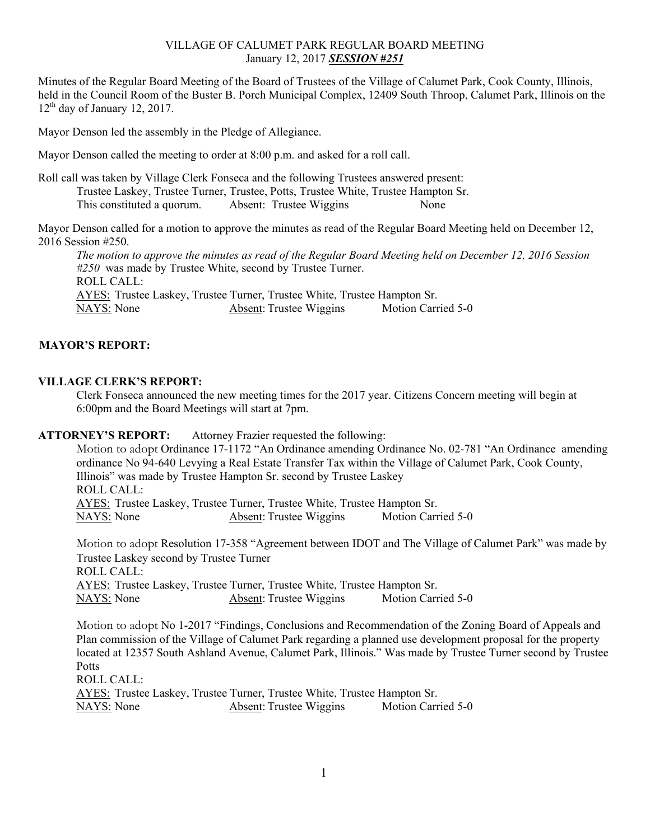# VILLAGE OF CALUMET PARK REGULAR BOARD MEETING January 12, 2017 *SESSION #251*

Minutes of the Regular Board Meeting of the Board of Trustees of the Village of Calumet Park, Cook County, Illinois, held in the Council Room of the Buster B. Porch Municipal Complex, 12409 South Throop, Calumet Park, Illinois on the  $12<sup>th</sup>$  day of January 12, 2017.

Mayor Denson led the assembly in the Pledge of Allegiance.

Mayor Denson called the meeting to order at 8:00 p.m. and asked for a roll call.

Roll call was taken by Village Clerk Fonseca and the following Trustees answered present: Trustee Laskey, Trustee Turner, Trustee, Potts, Trustee White, Trustee Hampton Sr. This constituted a quorum. Absent: Trustee Wiggins None

Mayor Denson called for a motion to approve the minutes as read of the Regular Board Meeting held on December 12, 2016 Session #250.

*The motion to approve the minutes as read of the Regular Board Meeting held on December 12, 2016 Session #250* was made by Trustee White, second by Trustee Turner. ROLL CALL: AYES: Trustee Laskey, Trustee Turner, Trustee White, Trustee Hampton Sr. NAYS: None Absent: Trustee Wiggins Motion Carried 5-0

# **MAYOR'S REPORT:**

# **VILLAGE CLERK'S REPORT:**

Clerk Fonseca announced the new meeting times for the 2017 year. Citizens Concern meeting will begin at 6:00pm and the Board Meetings will start at 7pm.

#### **ATTORNEY'S REPORT:** Attorney Frazier requested the following:

Motion to adopt Ordinance 17-1172 "An Ordinance amending Ordinance No. 02-781 "An Ordinance amending ordinance No 94-640 Levying a Real Estate Transfer Tax within the Village of Calumet Park, Cook County, Illinois" was made by Trustee Hampton Sr. second by Trustee Laskey ROLL CALL: AYES: Trustee Laskey, Trustee Turner, Trustee White, Trustee Hampton Sr. NAYS: None Absent: Trustee Wiggins Motion Carried 5-0

Motion to adopt Resolution 17-358 "Agreement between IDOT and The Village of Calumet Park" was made by Trustee Laskey second by Trustee Turner ROLL CALL: AYES: Trustee Laskey, Trustee Turner, Trustee White, Trustee Hampton Sr. NAYS: None Absent: Trustee Wiggins Motion Carried 5-0

Motion to adopt No 1-2017 "Findings, Conclusions and Recommendation of the Zoning Board of Appeals and Plan commission of the Village of Calumet Park regarding a planned use development proposal for the property located at 12357 South Ashland Avenue, Calumet Park, Illinois." Was made by Trustee Turner second by Trustee Potts ROLL CALL: AYES: Trustee Laskey, Trustee Turner, Trustee White, Trustee Hampton Sr.

NAYS: None Absent: Trustee Wiggins Motion Carried 5-0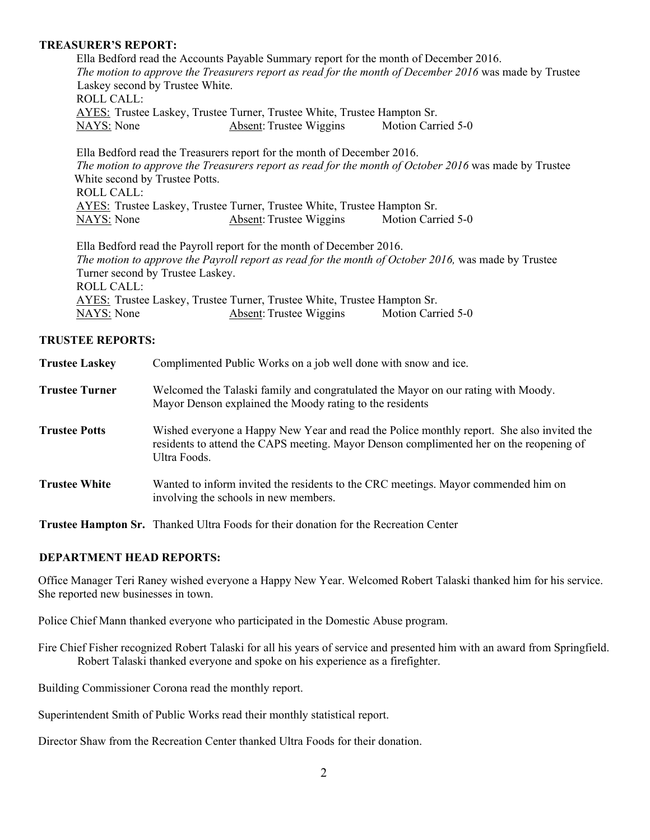### **TREASURER'S REPORT:**

Ella Bedford read the Accounts Payable Summary report for the month of December 2016. *The motion to approve the Treasurers report as read for the month of December 2016* was made by Trustee Laskey second by Trustee White. ROLL CALL: AYES: Trustee Laskey, Trustee Turner, Trustee White, Trustee Hampton Sr. NAYS: None Absent: Trustee Wiggins Motion Carried 5-0

Ella Bedford read the Treasurers report for the month of December 2016. *The motion to approve the Treasurers report as read for the month of October 2016* was made by Trustee White second by Trustee Potts. ROLL CALL: AYES: Trustee Laskey, Trustee Turner, Trustee White, Trustee Hampton Sr. NAYS: None Absent: Trustee Wiggins Motion Carried 5-0

Ella Bedford read the Payroll report for the month of December 2016.  *The motion to approve the Payroll report as read for the month of October 2016,* was made by Trustee Turner second by Trustee Laskey. ROLL CALL: AYES: Trustee Laskey, Trustee Turner, Trustee White, Trustee Hampton Sr. NAYS: None Absent: Trustee Wiggins Motion Carried 5-0

# **TRUSTEE REPORTS:**

| <b>Trustee Laskey</b> | Complimented Public Works on a job well done with snow and ice.                                                                                                                                      |
|-----------------------|------------------------------------------------------------------------------------------------------------------------------------------------------------------------------------------------------|
| <b>Trustee Turner</b> | Welcomed the Talaski family and congratulated the Mayor on our rating with Moody.<br>Mayor Denson explained the Moody rating to the residents                                                        |
| <b>Trustee Potts</b>  | Wished everyone a Happy New Year and read the Police monthly report. She also invited the<br>residents to attend the CAPS meeting. Mayor Denson complimented her on the reopening of<br>Ultra Foods. |
| <b>Trustee White</b>  | Wanted to inform invited the residents to the CRC meetings. Mayor commended him on<br>involving the schools in new members.                                                                          |

**Trustee Hampton Sr.** Thanked Ultra Foods for their donation for the Recreation Center

#### **DEPARTMENT HEAD REPORTS:**

Office Manager Teri Raney wished everyone a Happy New Year. Welcomed Robert Talaski thanked him for his service. She reported new businesses in town.

Police Chief Mann thanked everyone who participated in the Domestic Abuse program.

Fire Chief Fisher recognized Robert Talaski for all his years of service and presented him with an award from Springfield. Robert Talaski thanked everyone and spoke on his experience as a firefighter.

Building Commissioner Corona read the monthly report.

Superintendent Smith of Public Works read their monthly statistical report.

Director Shaw from the Recreation Center thanked Ultra Foods for their donation.